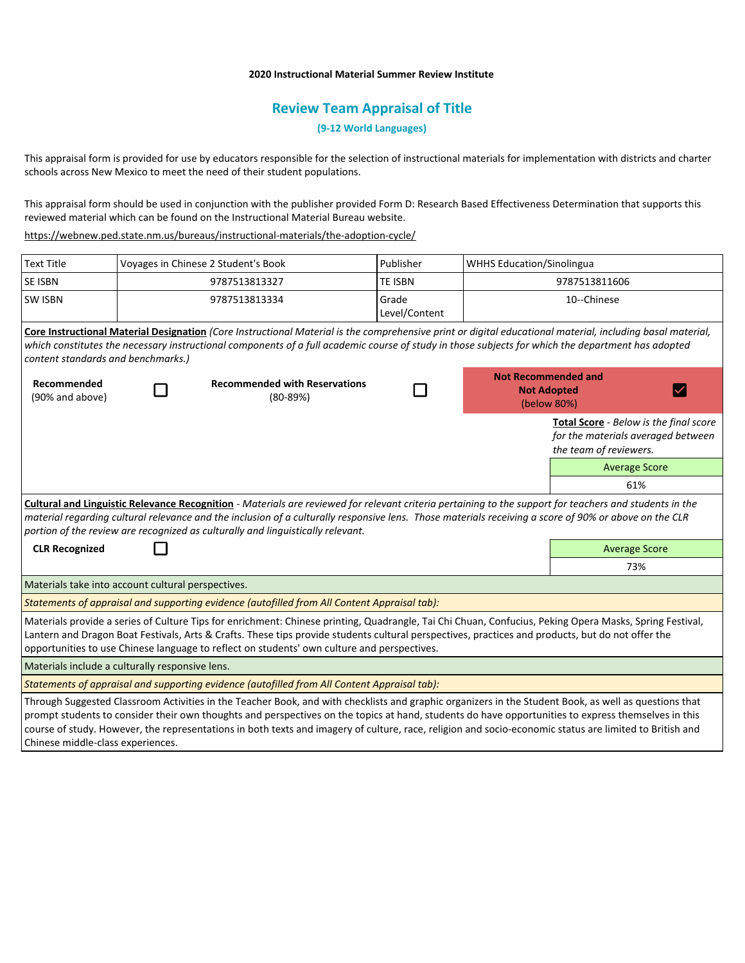## **2020 Instructional Material Summer Review Institute**

# **Review Team Appraisal of Title**

**(9-12 World Languages)**

This appraisal form is provided for use by educators responsible for the selection of instructional materials for implementation with districts and charter schools across New Mexico to meet the need of their student populations.

This appraisal form should be used in conjunction with the publisher provided Form D: Research Based Effectiveness Determination that supports this reviewed material which can be found on the Instructional Material Bureau website.

https://webnew.ped.state.nm.us/bureaus/instructional-materials/the-adoption-cycle/

| <b>Text Title</b>                                                                                                                                                                                                                                                                                                                                                                                                                                                       | Voyages in Chinese 2 Student's Book |                                                    | Publisher              | <b>WHHS Education/Sinolingua</b>                                |                                                                                                        |
|-------------------------------------------------------------------------------------------------------------------------------------------------------------------------------------------------------------------------------------------------------------------------------------------------------------------------------------------------------------------------------------------------------------------------------------------------------------------------|-------------------------------------|----------------------------------------------------|------------------------|-----------------------------------------------------------------|--------------------------------------------------------------------------------------------------------|
| <b>SE ISBN</b>                                                                                                                                                                                                                                                                                                                                                                                                                                                          | 9787513813327                       |                                                    | <b>TE ISBN</b>         | 9787513811606                                                   |                                                                                                        |
| <b>SW ISBN</b>                                                                                                                                                                                                                                                                                                                                                                                                                                                          | 9787513813334                       |                                                    | Grade<br>Level/Content | 10--Chinese                                                     |                                                                                                        |
| Core Instructional Material Designation (Core Instructional Material is the comprehensive print or digital educational material, including basal material,<br>which constitutes the necessary instructional components of a full academic course of study in those subjects for which the department has adopted<br>content standards and benchmarks.)                                                                                                                  |                                     |                                                    |                        |                                                                 |                                                                                                        |
| Recommended<br>(90% and above)                                                                                                                                                                                                                                                                                                                                                                                                                                          |                                     | <b>Recommended with Reservations</b><br>$(80-89%)$ |                        | <b>Not Recommended and</b><br><b>Not Adopted</b><br>(below 80%) |                                                                                                        |
|                                                                                                                                                                                                                                                                                                                                                                                                                                                                         |                                     |                                                    |                        |                                                                 | Total Score - Below is the final score<br>for the materials averaged between<br>the team of reviewers. |
|                                                                                                                                                                                                                                                                                                                                                                                                                                                                         |                                     |                                                    |                        |                                                                 | <b>Average Score</b>                                                                                   |
|                                                                                                                                                                                                                                                                                                                                                                                                                                                                         |                                     |                                                    |                        |                                                                 | 61%                                                                                                    |
| Cultural and Linguistic Relevance Recognition - Materials are reviewed for relevant criteria pertaining to the support for teachers and students in the<br>material regarding cultural relevance and the inclusion of a culturally responsive lens. Those materials receiving a score of 90% or above on the CLR<br>portion of the review are recognized as culturally and linguistically relevant.                                                                     |                                     |                                                    |                        |                                                                 |                                                                                                        |
| <b>CLR Recognized</b>                                                                                                                                                                                                                                                                                                                                                                                                                                                   |                                     |                                                    |                        | <b>Average Score</b>                                            |                                                                                                        |
|                                                                                                                                                                                                                                                                                                                                                                                                                                                                         |                                     |                                                    |                        |                                                                 | 73%                                                                                                    |
| Materials take into account cultural perspectives.                                                                                                                                                                                                                                                                                                                                                                                                                      |                                     |                                                    |                        |                                                                 |                                                                                                        |
| Statements of appraisal and supporting evidence (autofilled from All Content Appraisal tab):                                                                                                                                                                                                                                                                                                                                                                            |                                     |                                                    |                        |                                                                 |                                                                                                        |
| Materials provide a series of Culture Tips for enrichment: Chinese printing, Quadrangle, Tai Chi Chuan, Confucius, Peking Opera Masks, Spring Festival,<br>Lantern and Dragon Boat Festivals, Arts & Crafts. These tips provide students cultural perspectives, practices and products, but do not offer the<br>opportunities to use Chinese language to reflect on students' own culture and perspectives.                                                             |                                     |                                                    |                        |                                                                 |                                                                                                        |
| Materials include a culturally responsive lens.                                                                                                                                                                                                                                                                                                                                                                                                                         |                                     |                                                    |                        |                                                                 |                                                                                                        |
| Statements of appraisal and supporting evidence (autofilled from All Content Appraisal tab):                                                                                                                                                                                                                                                                                                                                                                            |                                     |                                                    |                        |                                                                 |                                                                                                        |
| Through Suggested Classroom Activities in the Teacher Book, and with checklists and graphic organizers in the Student Book, as well as questions that<br>prompt students to consider their own thoughts and perspectives on the topics at hand, students do have opportunities to express themselves in this<br>course of study. However, the representations in both texts and imagery of culture, race, religion and socio-economic status are limited to British and |                                     |                                                    |                        |                                                                 |                                                                                                        |

Chinese middle-class experiences.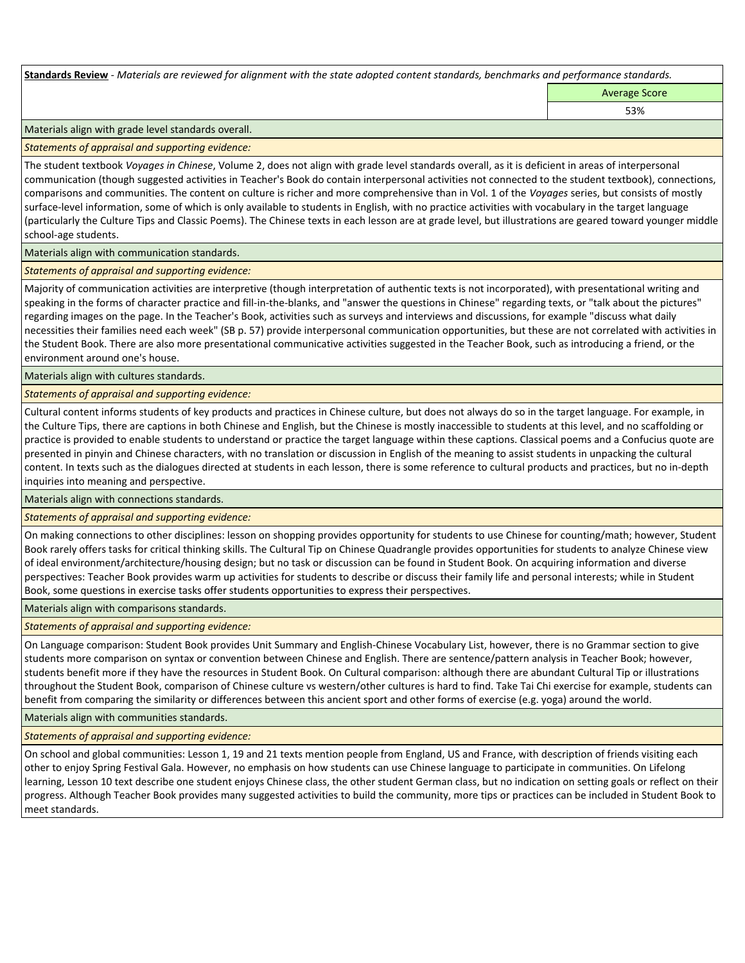**Standards Review** *- Materials are reviewed for alignment with the state adopted content standards, benchmarks and performance standards.*

Average Score 53%

Materials align with grade level standards overall.

*Statements of appraisal and supporting evidence:* 

The student textbook *Voyages in Chinese*, Volume 2, does not align with grade level standards overall, as it is deficient in areas of interpersonal communication (though suggested activities in Teacher's Book do contain interpersonal activities not connected to the student textbook), connections, comparisons and communities. The content on culture is richer and more comprehensive than in Vol. 1 of the *Voyages* series, but consists of mostly surface-level information, some of which is only available to students in English, with no practice activities with vocabulary in the target language (particularly the Culture Tips and Classic Poems). The Chinese texts in each lesson are at grade level, but illustrations are geared toward younger middle school-age students.

#### Materials align with communication standards.

*Statements of appraisal and supporting evidence:* 

Majority of communication activities are interpretive (though interpretation of authentic texts is not incorporated), with presentational writing and speaking in the forms of character practice and fill-in-the-blanks, and "answer the questions in Chinese" regarding texts, or "talk about the pictures" regarding images on the page. In the Teacher's Book, activities such as surveys and interviews and discussions, for example "discuss what daily necessities their families need each week" (SB p. 57) provide interpersonal communication opportunities, but these are not correlated with activities in the Student Book. There are also more presentational communicative activities suggested in the Teacher Book, such as introducing a friend, or the environment around one's house.

Materials align with cultures standards.

*Statements of appraisal and supporting evidence:* 

Cultural content informs students of key products and practices in Chinese culture, but does not always do so in the target language. For example, in the Culture Tips, there are captions in both Chinese and English, but the Chinese is mostly inaccessible to students at this level, and no scaffolding or practice is provided to enable students to understand or practice the target language within these captions. Classical poems and a Confucius quote are presented in pinyin and Chinese characters, with no translation or discussion in English of the meaning to assist students in unpacking the cultural content. In texts such as the dialogues directed at students in each lesson, there is some reference to cultural products and practices, but no in-depth inquiries into meaning and perspective.

Materials align with connections standards.

*Statements of appraisal and supporting evidence:* 

On making connections to other disciplines: lesson on shopping provides opportunity for students to use Chinese for counting/math; however, Student Book rarely offers tasks for critical thinking skills. The Cultural Tip on Chinese Quadrangle provides opportunities for students to analyze Chinese view of ideal environment/architecture/housing design; but no task or discussion can be found in Student Book. On acquiring information and diverse perspectives: Teacher Book provides warm up activities for students to describe or discuss their family life and personal interests; while in Student Book, some questions in exercise tasks offer students opportunities to express their perspectives.

Materials align with comparisons standards.

*Statements of appraisal and supporting evidence:* 

On Language comparison: Student Book provides Unit Summary and English-Chinese Vocabulary List, however, there is no Grammar section to give students more comparison on syntax or convention between Chinese and English. There are sentence/pattern analysis in Teacher Book; however, students benefit more if they have the resources in Student Book. On Cultural comparison: although there are abundant Cultural Tip or illustrations throughout the Student Book, comparison of Chinese culture vs western/other cultures is hard to find. Take Tai Chi exercise for example, students can benefit from comparing the similarity or differences between this ancient sport and other forms of exercise (e.g. yoga) around the world.

Materials align with communities standards.

*Statements of appraisal and supporting evidence:* 

On school and global communities: Lesson 1, 19 and 21 texts mention people from England, US and France, with description of friends visiting each other to enjoy Spring Festival Gala. However, no emphasis on how students can use Chinese language to participate in communities. On Lifelong learning, Lesson 10 text describe one student enjoys Chinese class, the other student German class, but no indication on setting goals or reflect on their progress. Although Teacher Book provides many suggested activities to build the community, more tips or practices can be included in Student Book to meet standards.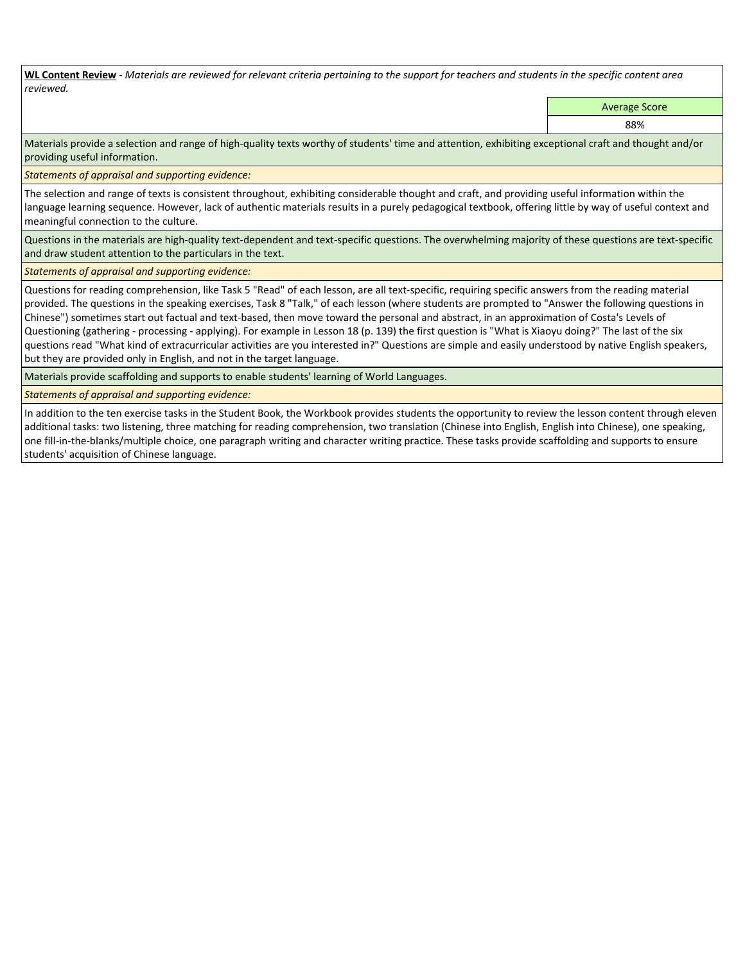**WL Content Review** *- Materials are reviewed for relevant criteria pertaining to the support for teachers and students in the specific content area reviewed.*

Average Score

88%

Materials provide a selection and range of high-quality texts worthy of students' time and attention, exhibiting exceptional craft and thought and/or providing useful information.

*Statements of appraisal and supporting evidence:* 

The selection and range of texts is consistent throughout, exhibiting considerable thought and craft, and providing useful information within the language learning sequence. However, lack of authentic materials results in a purely pedagogical textbook, offering little by way of useful context and meaningful connection to the culture.

Questions in the materials are high-quality text-dependent and text-specific questions. The overwhelming majority of these questions are text-specific and draw student attention to the particulars in the text.

*Statements of appraisal and supporting evidence:* 

Questions for reading comprehension, like Task 5 "Read" of each lesson, are all text-specific, requiring specific answers from the reading material provided. The questions in the speaking exercises, Task 8 "Talk," of each lesson (where students are prompted to "Answer the following questions in Chinese") sometimes start out factual and text-based, then move toward the personal and abstract, in an approximation of Costa's Levels of Questioning (gathering - processing - applying). For example in Lesson 18 (p. 139) the first question is "What is Xiaoyu doing?" The last of the six questions read "What kind of extracurricular activities are you interested in?" Questions are simple and easily understood by native English speakers, but they are provided only in English, and not in the target language.

Materials provide scaffolding and supports to enable students' learning of World Languages.

*Statements of appraisal and supporting evidence:* 

In addition to the ten exercise tasks in the Student Book, the Workbook provides students the opportunity to review the lesson content through eleven additional tasks: two listening, three matching for reading comprehension, two translation (Chinese into English, English into Chinese), one speaking, one fill-in-the-blanks/multiple choice, one paragraph writing and character writing practice. These tasks provide scaffolding and supports to ensure students' acquisition of Chinese language.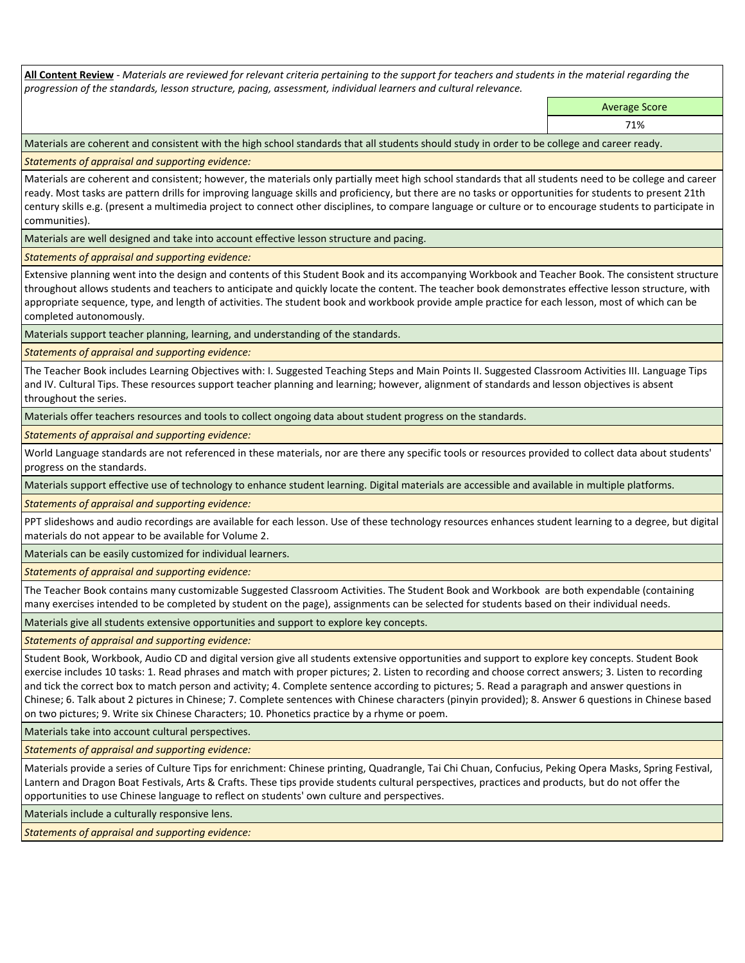**All Content Review** *- Materials are reviewed for relevant criteria pertaining to the support for teachers and students in the material regarding the progression of the standards, lesson structure, pacing, assessment, individual learners and cultural relevance.*

> Average Score 71%

Materials are coherent and consistent with the high school standards that all students should study in order to be college and career ready.

*Statements of appraisal and supporting evidence:*

Materials are coherent and consistent; however, the materials only partially meet high school standards that all students need to be college and career ready. Most tasks are pattern drills for improving language skills and proficiency, but there are no tasks or opportunities for students to present 21th century skills e.g. (present a multimedia project to connect other disciplines, to compare language or culture or to encourage students to participate in communities).

Materials are well designed and take into account effective lesson structure and pacing.

*Statements of appraisal and supporting evidence:*

Extensive planning went into the design and contents of this Student Book and its accompanying Workbook and Teacher Book. The consistent structure throughout allows students and teachers to anticipate and quickly locate the content. The teacher book demonstrates effective lesson structure, with appropriate sequence, type, and length of activities. The student book and workbook provide ample practice for each lesson, most of which can be completed autonomously.

Materials support teacher planning, learning, and understanding of the standards.

*Statements of appraisal and supporting evidence:*

The Teacher Book includes Learning Objectives with: I. Suggested Teaching Steps and Main Points II. Suggested Classroom Activities III. Language Tips and IV. Cultural Tips. These resources support teacher planning and learning; however, alignment of standards and lesson objectives is absent throughout the series.

Materials offer teachers resources and tools to collect ongoing data about student progress on the standards.

*Statements of appraisal and supporting evidence:*

World Language standards are not referenced in these materials, nor are there any specific tools or resources provided to collect data about students' progress on the standards.

Materials support effective use of technology to enhance student learning. Digital materials are accessible and available in multiple platforms.

*Statements of appraisal and supporting evidence:*

PPT slideshows and audio recordings are available for each lesson. Use of these technology resources enhances student learning to a degree, but digital materials do not appear to be available for Volume 2.

Materials can be easily customized for individual learners.

*Statements of appraisal and supporting evidence:* 

The Teacher Book contains many customizable Suggested Classroom Activities. The Student Book and Workbook are both expendable (containing many exercises intended to be completed by student on the page), assignments can be selected for students based on their individual needs.

Materials give all students extensive opportunities and support to explore key concepts.

*Statements of appraisal and supporting evidence:*

Student Book, Workbook, Audio CD and digital version give all students extensive opportunities and support to explore key concepts. Student Book exercise includes 10 tasks: 1. Read phrases and match with proper pictures; 2. Listen to recording and choose correct answers; 3. Listen to recording and tick the correct box to match person and activity; 4. Complete sentence according to pictures; 5. Read a paragraph and answer questions in Chinese; 6. Talk about 2 pictures in Chinese; 7. Complete sentences with Chinese characters (pinyin provided); 8. Answer 6 questions in Chinese based on two pictures; 9. Write six Chinese Characters; 10. Phonetics practice by a rhyme or poem.

Materials take into account cultural perspectives.

*Statements of appraisal and supporting evidence:*

Materials provide a series of Culture Tips for enrichment: Chinese printing, Quadrangle, Tai Chi Chuan, Confucius, Peking Opera Masks, Spring Festival, Lantern and Dragon Boat Festivals, Arts & Crafts. These tips provide students cultural perspectives, practices and products, but do not offer the opportunities to use Chinese language to reflect on students' own culture and perspectives.

Materials include a culturally responsive lens.

*Statements of appraisal and supporting evidence:*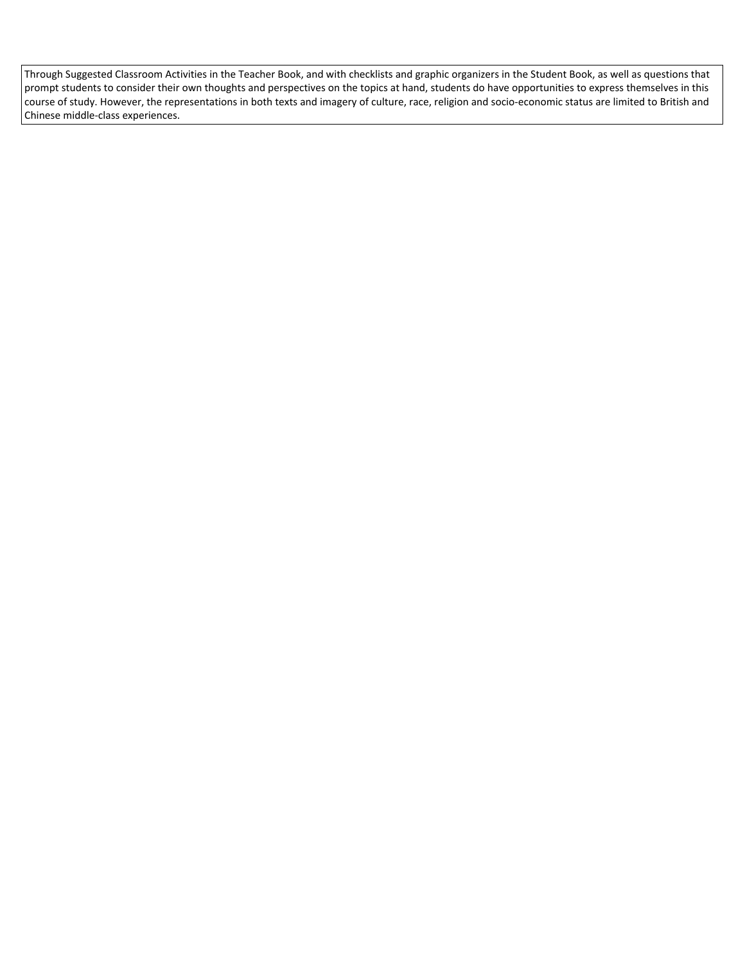Through Suggested Classroom Activities in the Teacher Book, and with checklists and graphic organizers in the Student Book, as well as questions that prompt students to consider their own thoughts and perspectives on the topics at hand, students do have opportunities to express themselves in this course of study. However, the representations in both texts and imagery of culture, race, religion and socio-economic status are limited to British and Chinese middle-class experiences.